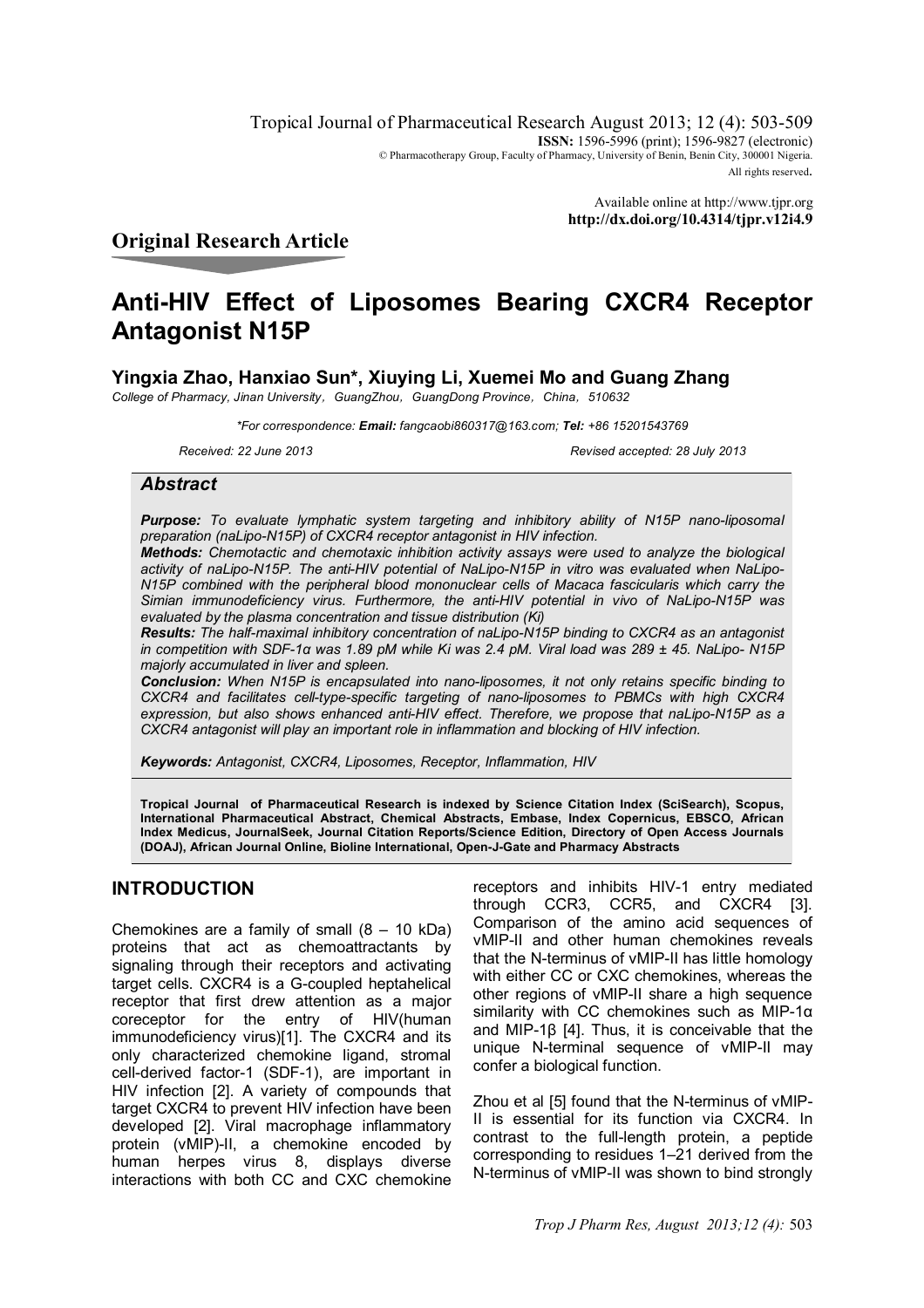Tropical Journal of Pharmaceutical Research August 2013; 12 (4): 503-509 **ISSN:** 1596-5996 (print): 1596-9827 (electronic) © Pharmacotherapy Group, Faculty of Pharmacy, University of Benin, Benin City, 300001 Nigeria. All rights reserved.

> Available online at http://www.tjpr.org **http://dx.doi.org/10.4314/tjpr.v12i4.9**

**Original Research Article**

# **Anti-HIV Effect of Liposomes Bearing CXCR4 Receptor Antagonist N15P**

# **Yingxia Zhao, Hanxiao Sun\*, Xiuying Li, Xuemei Mo and Guang Zhang**

*College of Pharmacy, Jinan University,GuangZhou,GuangDong Province,China,510632* 

*\*For correspondence: Email: fangcaobi860317@163.com; Tel: +86 15201543769*

*Received: 22 June 2013 Revised accepted: 28 July 2013*

### *Abstract*

*Purpose: To evaluate lymphatic system targeting and inhibitory ability of N15P nano-liposomal preparation (naLipo-N15P) of CXCR4 receptor antagonist in HIV infection.* 

*Methods: Chemotactic and chemotaxic inhibition activity assays were used to analyze the biological activity of naLipo-N15P. The anti-HIV potential of NaLipo-N15P in vitro was evaluated when NaLipo-N15P combined with the peripheral blood mononuclear cells of Macaca fascicularis which carry the Simian immunodeficiency virus. Furthermore, the anti-HIV potential in vivo of NaLipo-N15P was evaluated by the plasma concentration and tissue distribution (Ki)*

*Results: The half-maximal inhibitory concentration of naLipo-N15P binding to CXCR4 as an antagonist in competition with SDF-1α was 1.89 pM while Ki was 2.4 pM. Viral load was 289 ± 45. NaLipo- N15P majorly accumulated in liver and spleen.* 

*Conclusion: When N15P is encapsulated into nano-liposomes, it not only retains specific binding to CXCR4 and facilitates cell-type-specific targeting of nano-liposomes to PBMCs with high CXCR4 expression, but also shows enhanced anti-HIV effect. Therefore, we propose that naLipo-N15P as a CXCR4 antagonist will play an important role in inflammation and blocking of HIV infection.*

*Keywords: Antagonist, CXCR4, Liposomes, Receptor, Inflammation, HIV*

**Tropical Journal of Pharmaceutical Research is indexed by Science Citation Index (SciSearch), Scopus, International Pharmaceutical Abstract, Chemical Abstracts, Embase, Index Copernicus, EBSCO, African Index Medicus, JournalSeek, Journal Citation Reports/Science Edition, Directory of Open Access Journals (DOAJ), African Journal Online, Bioline International, Open-J-Gate and Pharmacy Abstracts**

# **INTRODUCTION**

Chemokines are a family of small (8 – 10 kDa) proteins that act as chemoattractants by signaling through their receptors and activating target cells. CXCR4 is a G-coupled heptahelical receptor that first drew attention as a major coreceptor for the entry of HIV(human immunodeficiency virus)[1]. The CXCR4 and its only characterized chemokine ligand, stromal cell-derived factor-1 (SDF-1), are important in HIV infection [2]. A variety of compounds that target CXCR4 to prevent HIV infection have been developed [2]. Viral macrophage inflammatory protein (vMIP)-II, a chemokine encoded by human herpes virus 8, displays diverse interactions with both CC and CXC chemokine

receptors and inhibits HIV-1 entry mediated through CCR3, CCR5, and CXCR4 [3]. Comparison of the amino acid sequences of vMIP-II and other human chemokines reveals that the N-terminus of vMIP-II has little homology with either CC or CXC chemokines, whereas the other regions of vMIP-II share a high sequence similarity with CC chemokines such as MIP-1α and MIP-1β [4]. Thus, it is conceivable that the unique N-terminal sequence of vMIP-II may confer a biological function.

Zhou et al [5] found that the N-terminus of vMIP-II is essential for its function via CXCR4. In contrast to the full-length protein, a peptide corresponding to residues 1–21 derived from the N-terminus of vMIP-II was shown to bind strongly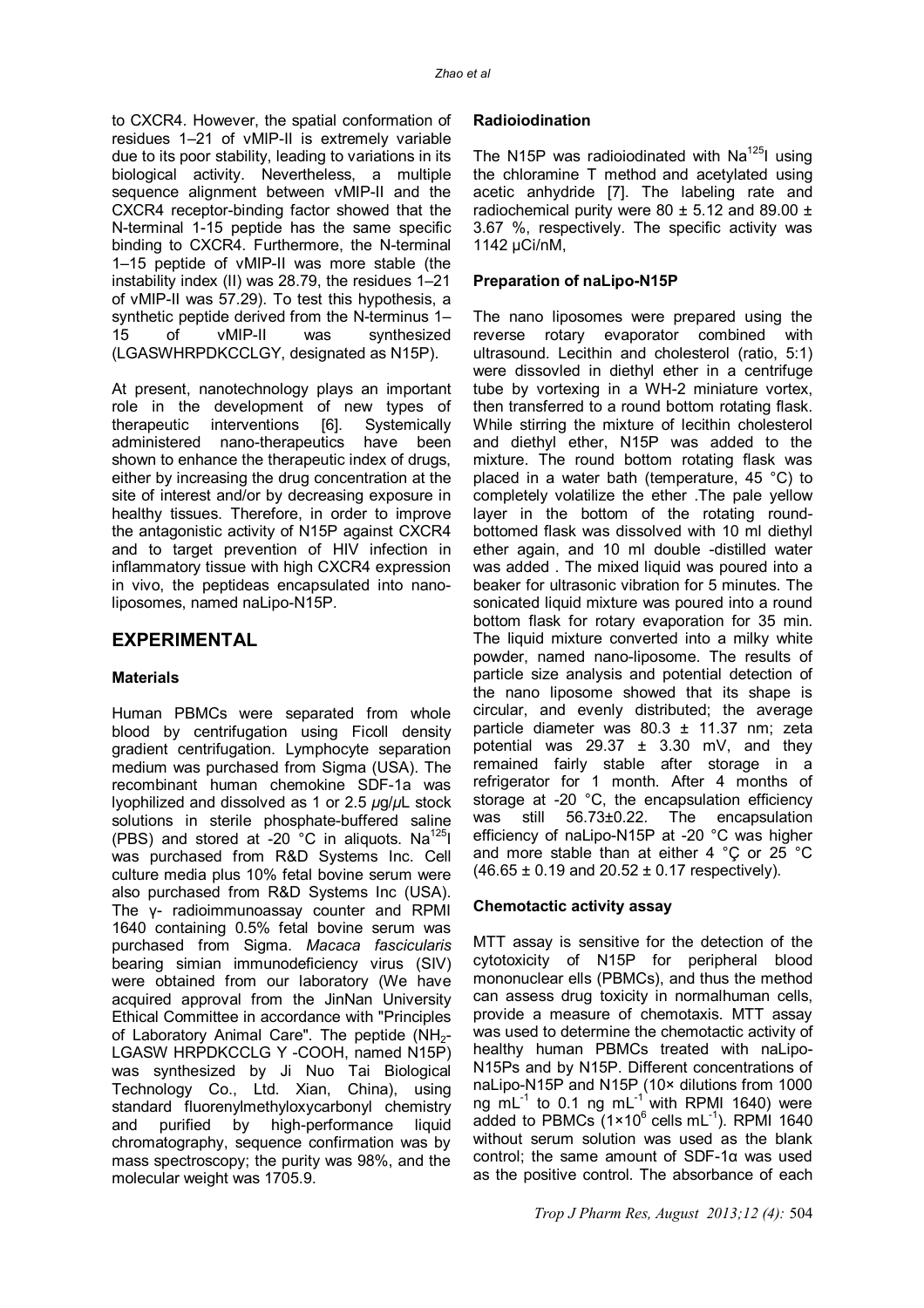to CXCR4. However, the spatial conformation of residues 1–21 of vMIP-II is extremely variable due to its poor stability, leading to variations in its biological activity. Nevertheless, a multiple sequence alignment between vMIP-II and the CXCR4 receptor-binding factor showed that the N-terminal 1-15 peptide has the same specific binding to CXCR4. Furthermore, the N-terminal 1–15 peptide of vMIP-II was more stable (the instability index (II) was 28.79, the residues 1–21 of vMIP-II was 57.29). To test this hypothesis, a synthetic peptide derived from the N-terminus 1– 15 of vMIP-II was synthesized (LGASWHRPDKCCLGY, designated as N15P).

At present, nanotechnology plays an important role in the development of new types of therapeutic interventions [6]. Systemically administered nano-therapeutics have been shown to enhance the therapeutic index of drugs, either by increasing the drug concentration at the site of interest and/or by decreasing exposure in healthy tissues. Therefore, in order to improve the antagonistic activity of N15P against CXCR4 and to target prevention of HIV infection in inflammatory tissue with high CXCR4 expression in vivo, the peptideas encapsulated into nanoliposomes, named naLipo-N15P.

# **EXPERIMENTAL**

# **Materials**

Human PBMCs were separated from whole blood by centrifugation using Ficoll density gradient centrifugation. Lymphocyte separation medium was purchased from Sigma (USA). The recombinant human chemokine SDF-1a was lyophilized and dissolved as 1 or 2.5 *μ*g/*μ*L stock solutions in sterile phosphate-buffered saline (PBS) and stored at -20  $^{\circ}$ C in aliquots. Na<sup>125</sup>I was purchased from R&D Systems Inc. Cell culture media plus 10% fetal bovine serum were also purchased from R&D Systems Inc (USA). The *v-* radioimmunoassay counter and RPMI 1640 containing 0.5% fetal bovine serum was purchased from Sigma. *Macaca fascicularis* bearing simian immunodeficiency virus (SIV) were obtained from our laboratory (We have acquired approval from the JinNan University Ethical Committee in accordance with "Principles of Laboratory Animal Care". The peptide (NH<sub>2</sub>-LGASW HRPDKCCLG Y -COOH, named N15P) was synthesized by Ji Nuo Tai Biological Technology Co., Ltd. Xian, China), using standard fluorenylmethyloxycarbonyl chemistry and purified by high-performance liquid chromatography, sequence confirmation was by mass spectroscopy; the purity was 98%, and the molecular weight was 1705.9.

### **Radioiodination**

The N15P was radioiodinated with  $Na<sup>125</sup>$  using the chloramine T method and acetylated using acetic anhydride [7]. The labeling rate and radiochemical purity were 80  $\pm$  5.12 and 89.00  $\pm$ 3.67 %, respectively. The specific activity was 1142 μCi/nM,

### **Preparation of naLipo-N15P**

The nano liposomes were prepared using the reverse rotary evaporator combined with ultrasound. Lecithin and cholesterol (ratio, 5:1) were dissovled in diethyl ether in a centrifuge tube by vortexing in a WH-2 miniature vortex, then transferred to a round bottom rotating flask. While stirring the mixture of lecithin cholesterol and diethyl ether, N15P was added to the mixture. The round bottom rotating flask was placed in a water bath (temperature, 45 °C) to completely volatilize the ether .The pale yellow layer in the bottom of the rotating roundbottomed flask was dissolved with 10 ml diethyl ether again, and 10 ml double -distilled water was added . The mixed liquid was poured into a beaker for ultrasonic vibration for 5 minutes. The sonicated liquid mixture was poured into a round bottom flask for rotary evaporation for 35 min. The liquid mixture converted into a milky white powder, named nano-liposome. The results of particle size analysis and potential detection of the nano liposome showed that its shape is circular, and evenly distributed; the average particle diameter was 80.3 ± 11.37 nm; zeta potential was  $29.37 \pm 3.30$  mV, and they remained fairly stable after storage in a refrigerator for 1 month. After 4 months of storage at -20 °C, the encapsulation efficiency was still 56.73±0.22. The encapsulation efficiency of naLipo-N15P at -20 °C was higher and more stable than at either 4 °Ç or 25 °C  $(46.65 \pm 0.19 \text{ and } 20.52 \pm 0.17 \text{ respectively}).$ 

### **Chemotactic activity assay**

MTT assay is sensitive for the detection of the cytotoxicity of N15P for peripheral blood mononuclear ells (PBMCs), and thus the method can assess drug toxicity in normalhuman cells, provide a measure of chemotaxis. MTT assay was used to determine the chemotactic activity of healthy human PBMCs treated with naLipo-N15Ps and by N15P. Different concentrations of naLipo-N15P and N15P (10× dilutions from 1000 ng mL $^{-1}$  to 0.1 ng mL $^{-1}$  with RPMI 1640) were added to PBMCs  $(1 \times 10^6 \text{ cells } mL^{-1})$ . RPMI 1640 without serum solution was used as the blank control; the same amount of SDF-1α was used as the positive control. The absorbance of each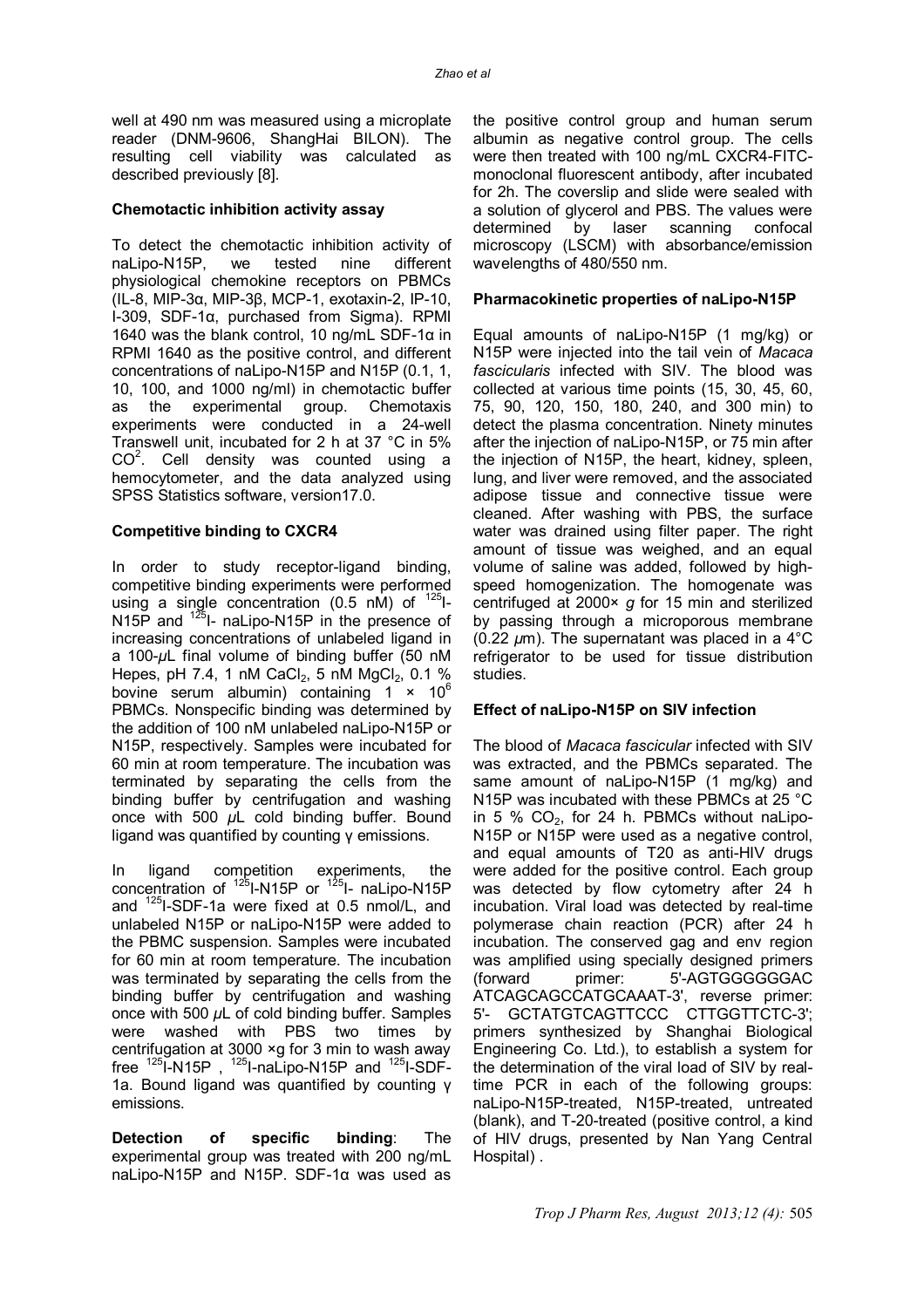well at 490 nm was measured using a microplate reader (DNM-9606, ShangHai BILON). The resulting cell viability was calculated as described previously [8].

#### **Chemotactic inhibition activity assay**

To detect the chemotactic inhibition activity of naLipo-N15P, we tested nine different physiological chemokine receptors on PBMCs (IL-8, MIP-3α, MIP-3β, MCP-1, exotaxin-2, IP-10, I-309, SDF-1α, purchased from Sigma). RPMI 1640 was the blank control, 10 ng/mL SDF-1α in RPMI 1640 as the positive control, and different concentrations of naLipo-N15P and N15P (0.1, 1, 10, 100, and 1000 ng/ml) in chemotactic buffer as the experimental group. Chemotaxis experiments were conducted in a 24-well Transwell unit, incubated for 2 h at 37 °C in 5%  $CO<sup>2</sup>$ . Cell density was counted using a hemocytometer, and the data analyzed using SPSS Statistics software, version17.0.

### **Competitive binding to CXCR4**

In order to study receptor-ligand binding, competitive binding experiments were performed using a single concentration (0.5 nM) of  $^{125}$ -N15P and  $125$ - naLipo-N15P in the presence of increasing concentrations of unlabeled ligand in a 100-*μ*L final volume of binding buffer (50 nM Hepes, pH 7.4, 1 nM CaCl<sub>2</sub>, 5 nM MgCl<sub>2</sub>, 0.1 % bovine serum albumin) containing  $1 \times 10^6$ PBMCs. Nonspecific binding was determined by the addition of 100 nM unlabeled naLipo-N15P or N15P, respectively. Samples were incubated for 60 min at room temperature. The incubation was terminated by separating the cells from the binding buffer by centrifugation and washing once with 500 *μ*L cold binding buffer. Bound ligand was quantified by counting γ emissions.

In ligand competition experiments, the concentration of <sup>125</sup>I-N15P or <sup>125</sup>I- naLipo-N15P and <sup>125</sup>I-SDF-1a were fixed at 0.5 nmol/L, and unlabeled N15P or naLipo-N15P were added to the PBMC suspension. Samples were incubated for 60 min at room temperature. The incubation was terminated by separating the cells from the binding buffer by centrifugation and washing once with 500 *μ*L of cold binding buffer. Samples were washed with PBS two times by centrifugation at 3000 ×g for 3 min to wash away free  $^{125}$ I-N15P,  $^{125}$ I-naLipo-N15P and  $^{125}$ I-SDF-1a. Bound ligand was quantified by counting γ emissions.

**Detection of specific binding**: The experimental group was treated with 200 ng/mL naLipo-N15P and N15P. SDF-1α was used as

the positive control group and human serum albumin as negative control group. The cells were then treated with 100 ng/mL CXCR4-FITCmonoclonal fluorescent antibody, after incubated for 2h. The coverslip and slide were sealed with a solution of glycerol and PBS. The values were<br>determined by laser scanning confocal laser scanning confocal microscopy (LSCM) with absorbance/emission wavelengths of 480/550 nm.

#### **Pharmacokinetic properties of naLipo-N15P**

Equal amounts of naLipo-N15P (1 mg/kg) or N15P were injected into the tail vein of *Macaca fascicularis* infected with SIV. The blood was collected at various time points (15, 30, 45, 60, 75, 90, 120, 150, 180, 240, and 300 min) to detect the plasma concentration. Ninety minutes after the injection of naLipo-N15P, or 75 min after the injection of N15P, the heart, kidney, spleen, lung, and liver were removed, and the associated adipose tissue and connective tissue were cleaned. After washing with PBS, the surface water was drained using filter paper. The right amount of tissue was weighed, and an equal volume of saline was added, followed by highspeed homogenization. The homogenate was centrifuged at 2000× *g* for 15 min and sterilized by passing through a microporous membrane (0.22 *μ*m). The supernatant was placed in a 4°C refrigerator to be used for tissue distribution studies.

#### **Effect of naLipo-N15P on SIV infection**

The blood of *Macaca fascicular* infected with SIV was extracted, and the PBMCs separated. The same amount of naLipo-N15P (1 mg/kg) and N15P was incubated with these PBMCs at 25 °C in 5 %  $CO<sub>2</sub>$ , for 24 h. PBMCs without naLipo-N15P or N15P were used as a negative control, and equal amounts of T20 as anti-HIV drugs were added for the positive control. Each group was detected by flow cytometry after 24 h incubation. Viral load was detected by real-time polymerase chain reaction (PCR) after 24 h incubation. The conserved gag and env region was amplified using specially designed primers<br>(forward primer: 5'-AGTGGGGGAC (forward primer: 5'-AGTGGGGGGAC ATCAGCAGCCATGCAAAT-3', reverse primer: 5'- GCTATGTCAGTTCCC CTTGGTTCTC-3'; primers synthesized by Shanghai Biological Engineering Co. Ltd.), to establish a system for the determination of the viral load of SIV by realtime PCR in each of the following groups: naLipo-N15P-treated, N15P-treated, untreated (blank), and T-20-treated (positive control, a kind of HIV drugs, presented by Nan Yang Central Hospital).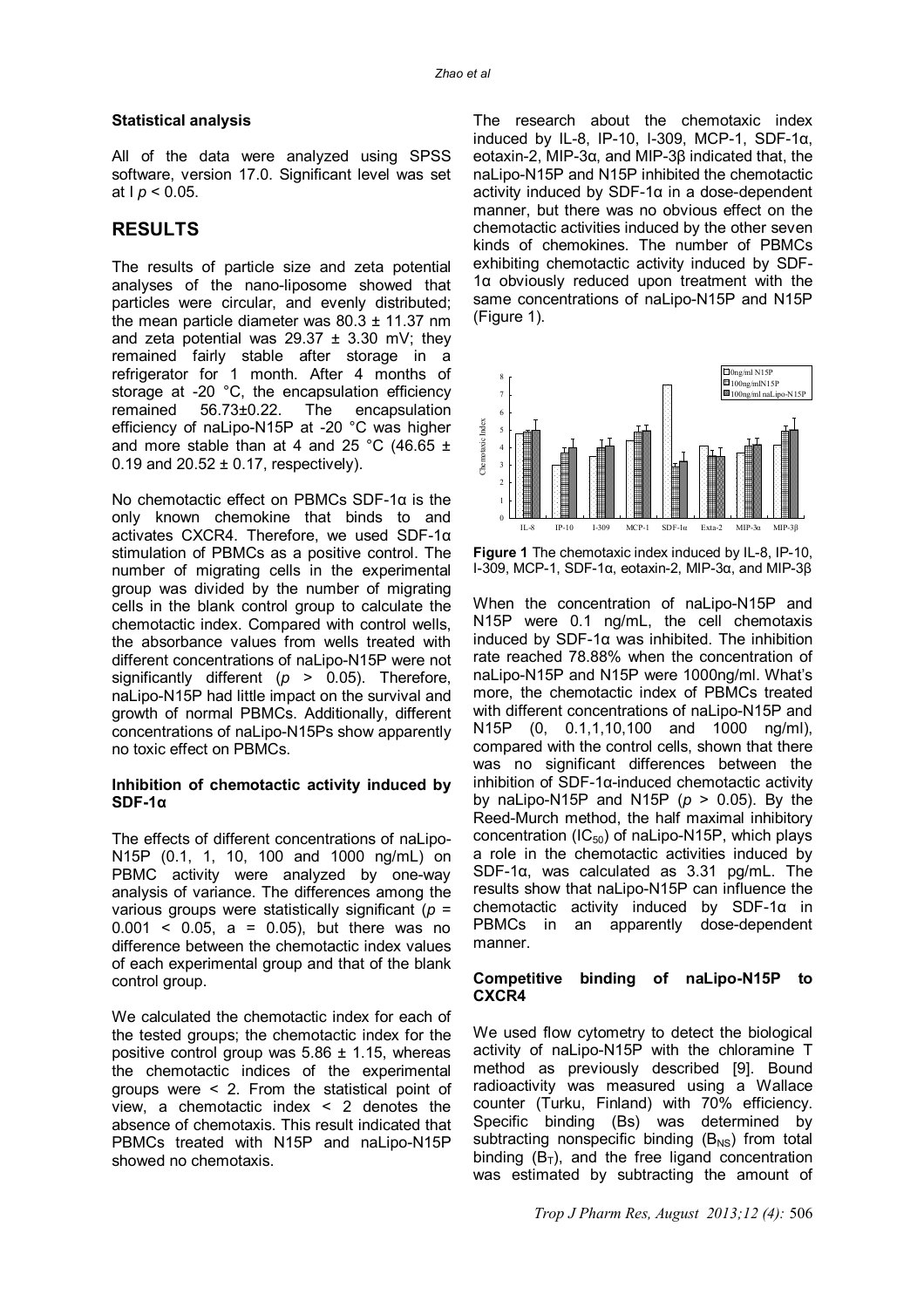#### **Statistical analysis**

All of the data were analyzed using SPSS software, version 17.0. Significant level was set at I *p* < 0.05.

# **RESULTS**

The results of particle size and zeta potential analyses of the nano-liposome showed that particles were circular, and evenly distributed; the mean particle diameter was  $80.3 \pm 11.37$  nm and zeta potential was  $29.37 \pm 3.30$  mV; they remained fairly stable after storage in a refrigerator for 1 month. After 4 months of storage at -20 °C, the encapsulation efficiency remained 56.73±0.22. The encapsulation efficiency of naLipo-N15P at -20 °C was higher and more stable than at 4 and 25 °C (46.65  $\pm$ 0.19 and  $20.52 \pm 0.17$ , respectively).

No chemotactic effect on PBMCs SDF-1α is the only known chemokine that binds to and activates CXCR4. Therefore, we used SDF-1α stimulation of PBMCs as a positive control. The number of migrating cells in the experimental group was divided by the number of migrating cells in the blank control group to calculate the chemotactic index. Compared with control wells, the absorbance values from wells treated with different concentrations of naLipo-N15P were not significantly different (*p* > 0.05). Therefore, naLipo-N15P had little impact on the survival and growth of normal PBMCs. Additionally, different concentrations of naLipo-N15Ps show apparently no toxic effect on PBMCs.

#### **Inhibition of chemotactic activity induced by SDF-1α**

The effects of different concentrations of naLipo-N15P (0.1, 1, 10, 100 and 1000 ng/mL) on PBMC activity were analyzed by one-way analysis of variance. The differences among the various groups were statistically significant (*p* =  $0.001$  < 0.05, a = 0.05), but there was no difference between the chemotactic index values of each experimental group and that of the blank control group.

We calculated the chemotactic index for each of the tested groups; the chemotactic index for the positive control group was  $5.86 \pm 1.15$ , whereas the chemotactic indices of the experimental groups were < 2. From the statistical point of view, a chemotactic index < 2 denotes the absence of chemotaxis. This result indicated that PBMCs treated with N15P and naLipo-N15P showed no chemotaxis.

The research about the chemotaxic index induced by IL-8, IP-10, I-309, MCP-1, SDF-1α, eotaxin-2, MIP-3α, and MIP-3β indicated that, the naLipo-N15P and N15P inhibited the chemotactic activity induced by SDF-1 $\alpha$  in a dose-dependent manner, but there was no obvious effect on the chemotactic activities induced by the other seven kinds of chemokines. The number of PBMCs exhibiting chemotactic activity induced by SDF-1α obviously reduced upon treatment with the same concentrations of naLipo-N15P and N15P (Figure 1).



**Figure 1** The chemotaxic index induced by IL-8, IP-10, I-309, MCP-1, SDF-1α, eotaxin-2, MIP-3α, and MIP-3β

When the concentration of naLipo-N15P and N15P were 0.1 ng/mL, the cell chemotaxis induced by SDF-1 $\alpha$  was inhibited. The inhibition rate reached 78.88% when the concentration of naLipo-N15P and N15P were 1000ng/ml. What's more, the chemotactic index of PBMCs treated with different concentrations of naLipo-N15P and N15P (0, 0.1,1,10,100 and 1000 ng/ml), compared with the control cells, shown that there was no significant differences between the inhibition of SDF-1α-induced chemotactic activity by naLipo-N15P and N15P (*p* > 0.05). By the Reed-Murch method, the half maximal inhibitory concentration  $(IC_{50})$  of naLipo-N15P, which plays a role in the chemotactic activities induced by SDF-1α, was calculated as 3.31 pg/mL. The results show that naLipo-N15P can influence the chemotactic activity induced by SDF-1α in PBMCs in an apparently dose-dependent manner.

#### **Competitive binding of naLipo-N15P to CXCR4**

We used flow cytometry to detect the biological activity of naLipo-N15P with the chloramine T method as previously described [9]. Bound radioactivity was measured using a Wallace counter (Turku, Finland) with 70% efficiency. Specific binding (Bs) was determined by subtracting nonspecific binding  $(B_{NS})$  from total binding  $(B_T)$ , and the free ligand concentration was estimated by subtracting the amount of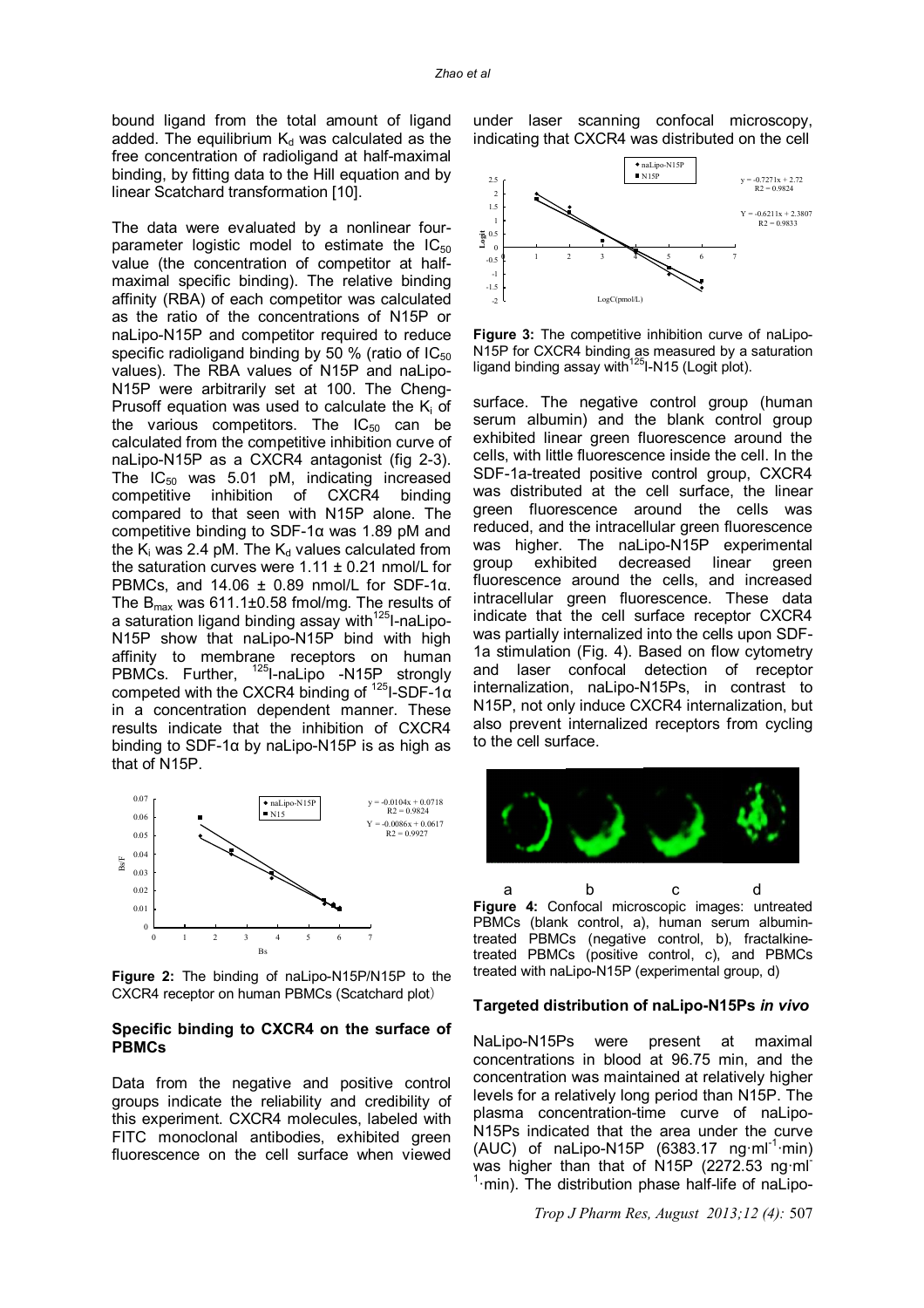bound ligand from the total amount of ligand added. The equilibrium  $K_d$  was calculated as the free concentration of radioligand at half-maximal binding, by fitting data to the Hill equation and by linear Scatchard transformation [10].

The data were evaluated by a nonlinear fourparameter logistic model to estimate the  $IC_{50}$ value (the concentration of competitor at halfmaximal specific binding). The relative binding affinity (RBA) of each competitor was calculated as the ratio of the concentrations of N15P or naLipo-N15P and competitor required to reduce specific radioligand binding by 50 % (ratio of  $IC_{50}$ values). The RBA values of N15P and naLipo-N15P were arbitrarily set at 100. The Cheng-Prusoff equation was used to calculate the  $K_i$  of the various competitors. The  $IC_{50}$  can be calculated from the competitive inhibition curve of naLipo-N15P as a CXCR4 antagonist (fig 2-3). The  $IC_{50}$  was 5.01 pM, indicating increased competitive inhibition of CXCR4 binding compared to that seen with N15P alone. The competitive binding to SDF-1α was 1.89 pM and the K<sub>i</sub> was 2.4 pM. The K<sub>d</sub> values calculated from the saturation curves were  $1.11 \pm 0.21$  nmol/L for PBMCs, and  $14.06 \pm 0.89$  nmol/L for SDF-1 $\alpha$ . The  $B_{max}$  was 611.1±0.58 fmol/mg. The results of a saturation ligand binding assay with $125$ I-naLipo-N15P show that naLipo-N15P bind with high affinity to membrane receptors on human PBMCs. Further, <sup>125</sup>I-naLipo -N15P strongly competed with the CXCR4 binding of  $125$ -SDF-1α in a concentration dependent manner. These results indicate that the inhibition of CXCR4 binding to SDF-1α by naLipo-N15P is as high as that of N15P.



**Figure 2:** The binding of naLipo-N15P/N15P to the CXCR4 receptor on human PBMCs (Scatchard plot)

#### **Specific binding to CXCR4 on the surface of PBMCs**

Data from the negative and positive control groups indicate the reliability and credibility of this experiment. CXCR4 molecules, labeled with FITC monoclonal antibodies, exhibited green fluorescence on the cell surface when viewed

under laser scanning confocal microscopy, indicating that CXCR4 was distributed on the cell



**Figure 3:** The competitive inhibition curve of naLipo-N15P for CXCR4 binding as measured by a saturation ligand binding assay with<sup>125</sup>I-N15 (Logit plot).

surface. The negative control group (human serum albumin) and the blank control group exhibited linear green fluorescence around the cells, with little fluorescence inside the cell. In the SDF-1a-treated positive control group, CXCR4 was distributed at the cell surface, the linear green fluorescence around the cells was reduced, and the intracellular green fluorescence was higher. The naLipo-N15P experimental group exhibited decreased linear green fluorescence around the cells, and increased intracellular green fluorescence. These data indicate that the cell surface receptor CXCR4 was partially internalized into the cells upon SDF-1a stimulation (Fig. 4). Based on flow cytometry and laser confocal detection of receptor internalization, naLipo-N15Ps, in contrast to N15P, not only induce CXCR4 internalization, but also prevent internalized receptors from cycling to the cell surface.



 a b c d **Figure 4:** Confocal microscopic images: untreated PBMCs (blank control, a), human serum albumintreated PBMCs (negative control, b), fractalkinetreated PBMCs (positive control, c), and PBMCs treated with naLipo-N15P (experimental group, d)

#### **Targeted distribution of naLipo-N15Ps** *in vivo*

NaLipo-N15Ps were present at maximal concentrations in blood at 96.75 min, and the concentration was maintained at relatively higher levels for a relatively long period than N15P. The plasma concentration-time curve of naLipo-N15Ps indicated that the area under the curve  $(AUC)$  of naLipo-N15P (6383.17 ng·ml<sup>-1</sup>·min) was higher than that of N15P (2272.53 ng·ml<sup>-</sup>  $1$ ·min). The distribution phase half-life of naLipo-

*Trop J Pharm Res, August 2013;12 (4):* 507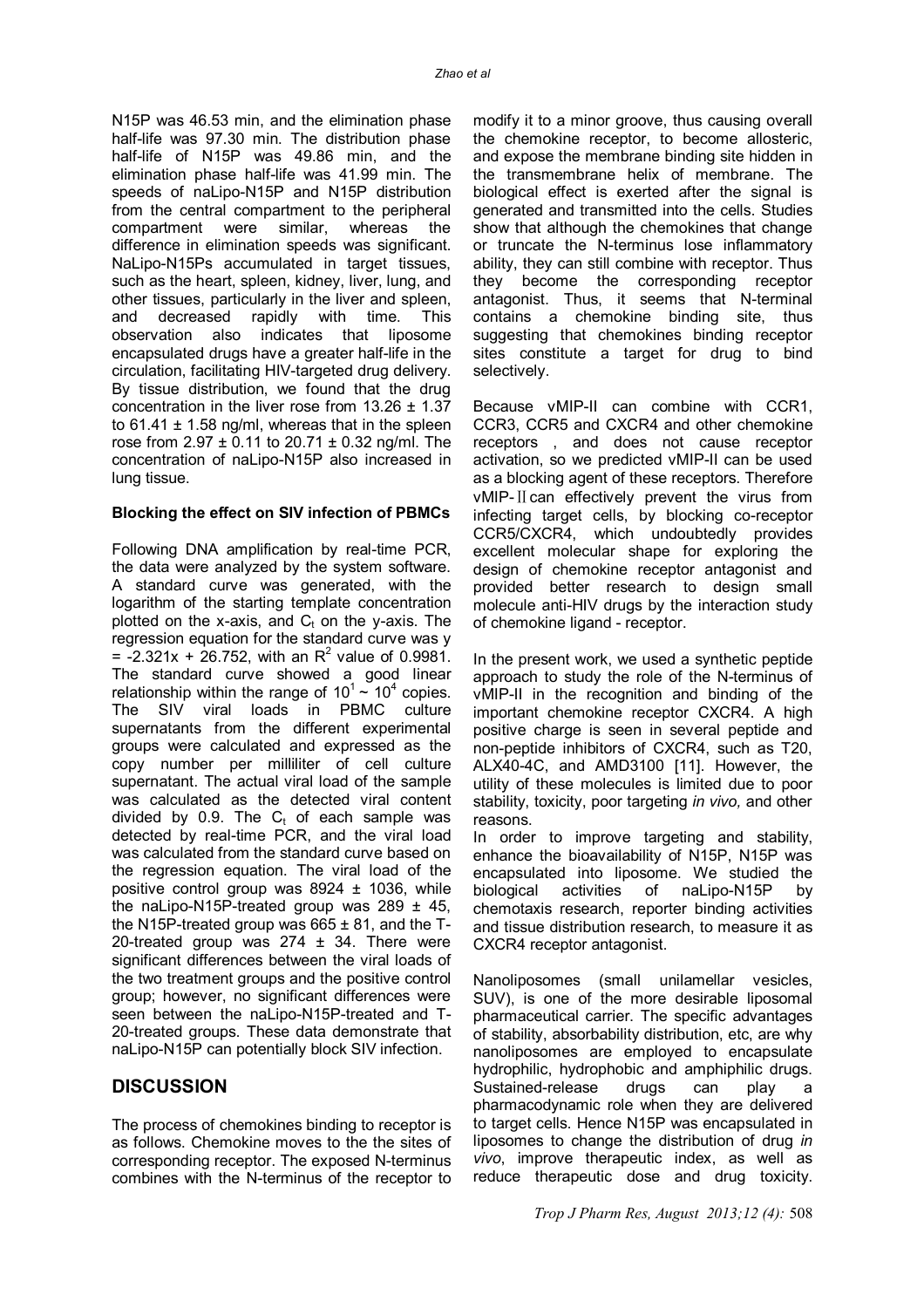N15P was 46.53 min, and the elimination phase half-life was 97.30 min. The distribution phase half-life of N15P was 49.86 min, and the elimination phase half-life was 41.99 min. The speeds of naLipo-N15P and N15P distribution from the central compartment to the peripheral<br>compartment were similar, whereas the compartment were similar, whereas the difference in elimination speeds was significant. NaLipo-N15Ps accumulated in target tissues, such as the heart, spleen, kidney, liver, lung, and other tissues, particularly in the liver and spleen, and decreased rapidly with time. This observation also indicates that liposome encapsulated drugs have a greater half-life in the circulation, facilitating HIV-targeted drug delivery. By tissue distribution, we found that the drug concentration in the liver rose from  $13.26 \pm 1.37$ to 61.41  $\pm$  1.58 ng/ml, whereas that in the spleen rose from  $2.97 \pm 0.11$  to  $20.71 \pm 0.32$  ng/ml. The concentration of naLipo-N15P also increased in lung tissue.

#### **Blocking the effect on SIV infection of PBMCs**

Following DNA amplification by real-time PCR, the data were analyzed by the system software. A standard curve was generated, with the logarithm of the starting template concentration plotted on the x-axis, and  $C_t$  on the y-axis. The regression equation for the standard curve was y  $=$  -2.321x + 26.752, with an R<sup>2</sup> value of 0.9981. The standard curve showed a good linear relationship within the range of  $10^1 \sim 10^4$  copies. The SIV viral loads in PBMC culture supernatants from the different experimental groups were calculated and expressed as the copy number per milliliter of cell culture supernatant. The actual viral load of the sample was calculated as the detected viral content divided by 0.9. The  $C_t$  of each sample was detected by real-time PCR, and the viral load was calculated from the standard curve based on the regression equation. The viral load of the positive control group was  $8924 \pm 1036$ , while the naLipo-N15P-treated group was  $289 \pm 45$ , the N15P-treated group was  $665 \pm 81$ , and the T-20-treated group was  $274 \pm 34$ . There were significant differences between the viral loads of the two treatment groups and the positive control group; however, no significant differences were seen between the naLipo-N15P-treated and T-20-treated groups. These data demonstrate that naLipo-N15P can potentially block SIV infection.

# **DISCUSSION**

The process of chemokines binding to receptor is as follows. Chemokine moves to the the sites of corresponding receptor. The exposed N-terminus combines with the N-terminus of the receptor to modify it to a minor groove, thus causing overall the chemokine receptor, to become allosteric, and expose the membrane binding site hidden in the transmembrane helix of membrane. The biological effect is exerted after the signal is generated and transmitted into the cells. Studies show that although the chemokines that change or truncate the N-terminus lose inflammatory ability, they can still combine with receptor. Thus they become the corresponding receptor antagonist. Thus, it seems that N-terminal contains a chemokine binding site, thus suggesting that chemokines binding receptor sites constitute a target for drug to bind selectively.

Because vMIP-II can combine with CCR1, CCR3, CCR5 and CXCR4 and other chemokine receptors , and does not cause receptor activation, so we predicted vMIP-II can be used as a blocking agent of these receptors. Therefore vMIP-Ⅱcan effectively prevent the virus from infecting target cells, by blocking co-receptor CCR5/CXCR4, which undoubtedly provides excellent molecular shape for exploring the design of chemokine receptor antagonist and provided better research to design small molecule anti-HIV drugs by the interaction study of chemokine ligand - receptor.

In the present work, we used a synthetic peptide approach to study the role of the N-terminus of vMIP-II in the recognition and binding of the important chemokine receptor CXCR4. A high positive charge is seen in several peptide and non-peptide inhibitors of CXCR4, such as T20, ALX40-4C, and AMD3100 [11]. However, the utility of these molecules is limited due to poor stability, toxicity, poor targeting *in vivo,* and other reasons.

In order to improve targeting and stability, enhance the bioavailability of N15P, N15P was encapsulated into liposome. We studied the biological activities of naLipo-N15P by chemotaxis research, reporter binding activities and tissue distribution research, to measure it as CXCR4 receptor antagonist.

Nanoliposomes (small unilamellar vesicles, SUV), is one of the more desirable liposomal pharmaceutical carrier. The specific advantages of stability, absorbability distribution, etc, are why nanoliposomes are employed to encapsulate hydrophilic, hydrophobic and amphiphilic drugs. Sustained-release drugs can play a pharmacodynamic role when they are delivered to target cells. Hence N15P was encapsulated in liposomes to change the distribution of drug *in vivo*, improve therapeutic index, as well as reduce therapeutic dose and drug toxicity.